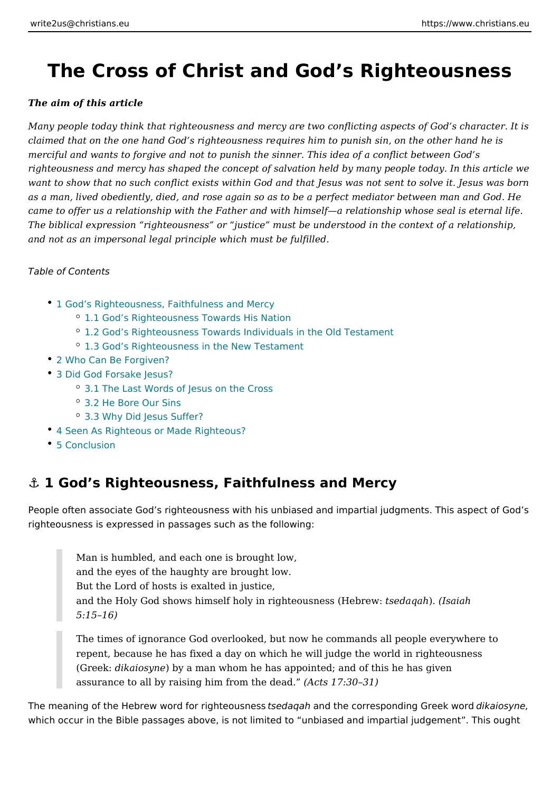# The Cross of Christ and God s Righteo

The aim of this article

Many people today think that righteousness and mercy are two conflicting aspect claimed that on the one hand God s righteousness requires him to punish sin, on merciful and wants to forgive and not to punish the sinner. This idea of a conflic righteousness and mercy has shaped the concept of salvation held by many peop want to show that no such conflict exists within God and that Jesus was not sent as a man, lived obediently, died, and rose again so as to be a perfect mediator I came to offer us a relationship with the Father and with himself a relationship w The biblical expression righteousness or justice must be understood in the context and not as an impersonal legal principle which must be fulfilled.

Table of Contents

- 1 God s Righteousness, Faithfulness and Mercy
	- <sup>o</sup> [1.1 God s Righteousness Towar](#page-1-0)ds His Nation
	- $^{\circ}$  [1.2 God s Righteousness Towards Individuals i](#page-2-0)n the Old Testament
	- <sup>o</sup> [1.3 God s Righteousness in the N](#page-4-0)ew Testament
- [2 Who Can Be Fo](#page-5-0)rgiven?
- [3 Did God Forsak](#page-7-0)e Jesus?
	- [3.1 The Last Words of Jesus](#page-7-0) on the Cross
	- [3.2 He Bore Ou](#page-8-0)r Sins
	- [3.3 Why Did Jesus](#page-11-0) Suffer?
- [4 Seen As Righteous or Made](#page-12-0) Righteous?
- [5 Conclu](#page-14-0)sion

# &" 1 God s Righteousness, Faithfulness and Mercy

People often associate God s righteousness with his unbiased and impartial judg righteousness is expressed in passages such as the following:

Man is humbled, and each one is brought low, and the eyes of the haughty are brought low. But the Lord of hosts is exalted in justice, and the Holy God shows himself holy in righte osussom as the barkew: 5:15 16)

The times of ignorance God overlooked, but now he commands all peopl repent, because he has fixed a day on which he will judge the world in (Greek: ikaiosynby a man whom he has appointed; and of this he has give assurance to all by raising him  $fr\alpha$   $\alpha$  ctts e 1  $\alpha$  e  $\alpha$   $\alpha$  . 31)

The meaning of the Hebrew word for trsi**g daeqoashine** detshse corresponding Greek kaiowspyrnele, which occur in the Bible passages above, is not limited to unbiased and imparti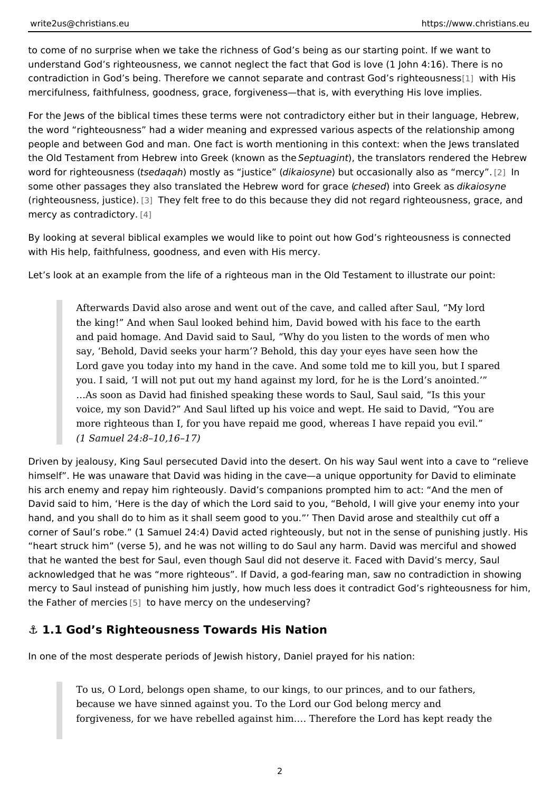<span id="page-1-0"></span>to come of no surprise when we take the richness of God s being as our starting understand God s righteousness, we cannot neglect the fact that God is love (1. c[on](#page-15-0)tradiction in God s being. Therefore we cannot separate and contrwaish Ghosd s r mercifulness, faithfulness, goodness, grace, forgiveness that is, with everything

For the Jews of the biblical times these terms were not contradictory either but the word righteousness had a wider meaning and expressed various aspects of people and between God and man. One fact is worth mentioning in this context: the Old Testament from Hebrew into Gree & e(cktnuon ung ), the set it panslators rendered the i word for righteouts meeds [as](#page-15-0)  $\phi$  if mostly as justike  $i$  of  $\phi$  ) also in ally also a  $\mathcal{Q}$  in the rcy . some other passages they also translated the Heborheews who ind of Grreged the as (osyne (righteousness, [jus](#page-15-0)tice) felt free to do this because they did not regard righteousness,  $\frac{1}{3}$ mercy as contra[dict](#page-15-0)ory.

By looking at several biblical examples we would like to point out how God s rig with His help, faithfulness, goodness, and even with His mercy.

Let s look at an example from the life of a righteous man in the Old Testament to

Afterwards David also arose and went out of the cave, and called after the king! And when Saul looked behind him, David bowed with his face and paid homage. And David said to Saul, Why do you listen to the wor say, Behold, David seeks your harm ? Behold, this day your eyes have Lord gave you today into my hand in the cave. And some told me to kill you. I said, I will not put out my hand against my lord, for he is the Lo &As soon as David had finished speaking these words to Saul, Saul said voice, my son David? And Saul lifted up his voice and wept. He said to more righteous than I, for you have repaid me good, whereas I have rep (1 Samuel 24:8 10,16 17)

Driven by jealousy, King Saul persecuted David into the desert. On his way Saul himself. He was unaware that David was hiding in the cave a unique opportunity his arch enemy and repay him righteously. David s companions prompted him to David said to him, Here is the day of which the Lord said to you, Behold, I will hand, and you shall do to him as it shall seem good to you. Then David arose a corner of Saul s robe. (1 Samuel 24:4) David acted righteously, but not in the s heart struck him (verse 5), and he was not willing to do Saul any harm. David was that he wanted the best for Saul, even though Saul did not deserve it. Faced wit acknowledged that he was more righteous . If David, a god-fearing man, saw no mercy to Saul instead of punishing him justly, how much less does it contradict the Father of metcieshave [mer](#page-15-0)cy on the undeserving?

&" 1.1 God s Righteousness Towards His Nation

In one of the most desperate periods of Jewish history, Daniel prayed for his na

To us, O Lord, belongs open shame, to our kings, to our princes, and to because we have sinned against you. To the Lord our God belong mercy forgiveness, for we have rebelled against him &. Therefore the Lord has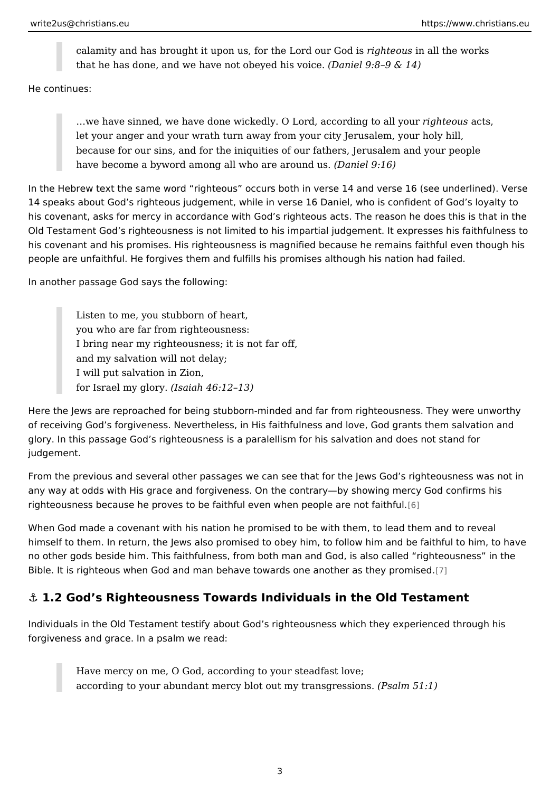calamity and has brought it upon us, for the ighte occurs and buthies works that he has done, and we have not obe  $\sqrt{D}$  adial  $\sqrt{2}$   $\approx$  44)

<span id="page-2-0"></span>He continues:

&we have sinned, we have done wickedly. O Lord, a ciogohntobion uppsot bs all your let your anger and your wrath turn away from your city Jerusalem, your because for our sins, and for the iniquities of our fathers, Jerusalem ar have become a byword among all who  $\alpha$  Deaniel  $\beta$ d16\$.

In the Hebrew text the same word righteous occurs both in verse 14 and verse 14 speaks about God s righteous judgement, while in verse 16 Daniel, who is confi his covenant, asks for mercy in accordance with God s righteous acts. The reaso Old Testament God s righteousness is not limited to his impartial judgement. It  $\epsilon$ his covenant and his promises. His righteousness is magnified because he remai people are unfaithful. He forgives them and fulfills his promises although his na

In another passage God says the following:

Listen to me, you stubborn of heart, you who are far from righteousness: I bring near my righteousness; it is not far off, and my salvation will not delay; I will put salvation in Zion, for Israel my glosman  $46:12$  13)

Here the Jews are reproached for being stubborn-minded and far from righteousn of receiving God s forgiveness. Nevertheless, in His faithfulness and love, God glory. In this passage God s righteousness is a paralellism for his salvation and judgement.

From the previous and several other passages we can see that for the Jews God any way at odds with His grace and forgiveness. On the contrary by showing mer righteousness because he proves to be faithful even when  $\circledcirc$  people are not faithfu

When God made a covenant with his nation he promised to be with them, to lead himself to them. In return, the Jews also promised to obey him, to follow him and no other gods beside him. This faithfulness, from both man and God, is also call Bible. It is righteous when God and man behave towards one [ano](#page-16-0)ther as they pro

& 1.2 God s Righteousness Towards Individuals in the Old Testam

Individuals in the Old Testament testify about God s righteousness which they e: forgiveness and grace. In a psalm we read:

Have mercy on me, O God, according to your steadfast love; according to your abundant mercy blot out my  $R$ sanmsg $54$ stjons.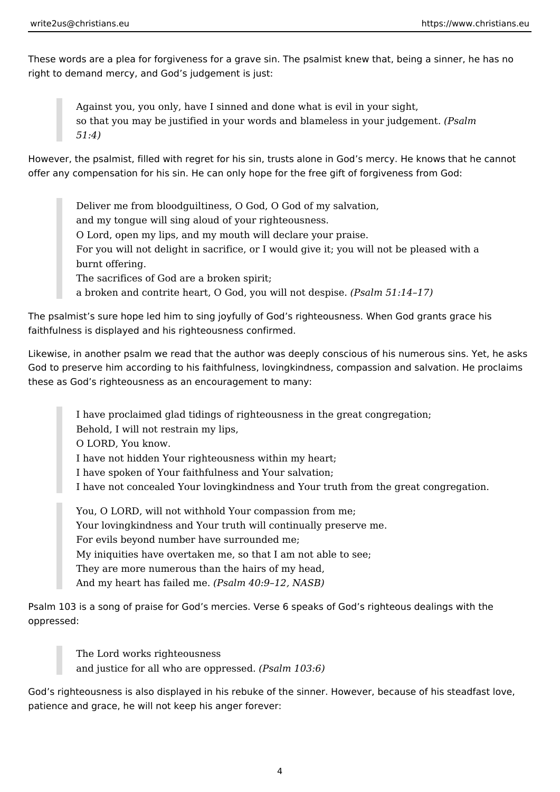These words are a plea for forgiveness for a grave sin. The psalmist knew that, being a sinner, he has no right to demand mercy, and God's judgement is just:

Against you, you only, have I sinned and done what is evil in your sight, so that you may be justified in your words and blameless in your judgement. *(Psalm 51:4)*

However, the psalmist, filled with regret for his sin, trusts alone in God's mercy. He knows that he cannot offer any compensation for his sin. He can only hope for the free gift of forgiveness from God:

Deliver me from bloodguiltiness, O God, O God of my salvation,

and my tongue will sing aloud of your righteousness.

O Lord, open my lips, and my mouth will declare your praise.

For you will not delight in sacrifice, or I would give it; you will not be pleased with a burnt offering.

The sacrifices of God are a broken spirit;

a broken and contrite heart, O God, you will not despise. *(Psalm 51:14–17)*

The psalmist's sure hope led him to sing joyfully of God's righteousness. When God grants grace his faithfulness is displayed and his righteousness confirmed.

Likewise, in another psalm we read that the author was deeply conscious of his numerous sins. Yet, he asks God to preserve him according to his faithfulness, lovingkindness, compassion and salvation. He proclaims these as God's righteousness as an encouragement to many:

I have proclaimed glad tidings of righteousness in the great congregation;

Behold, I will not restrain my lips,

O LORD, You know.

I have not hidden Your righteousness within my heart;

I have spoken of Your faithfulness and Your salvation;

I have not concealed Your lovingkindness and Your truth from the great congregation.

You, O LORD, will not withhold Your compassion from me; Your lovingkindness and Your truth will continually preserve me. For evils beyond number have surrounded me; My iniquities have overtaken me, so that I am not able to see; They are more numerous than the hairs of my head, And my heart has failed me. *(Psalm 40:9–12, NASB)*

Psalm 103 is a song of praise for God's mercies. Verse 6 speaks of God's righteous dealings with the oppressed:

The Lord works righteousness and justice for all who are oppressed. *(Psalm 103:6)*

God's righteousness is also displayed in his rebuke of the sinner. However, because of his steadfast love, patience and grace, he will not keep his anger forever: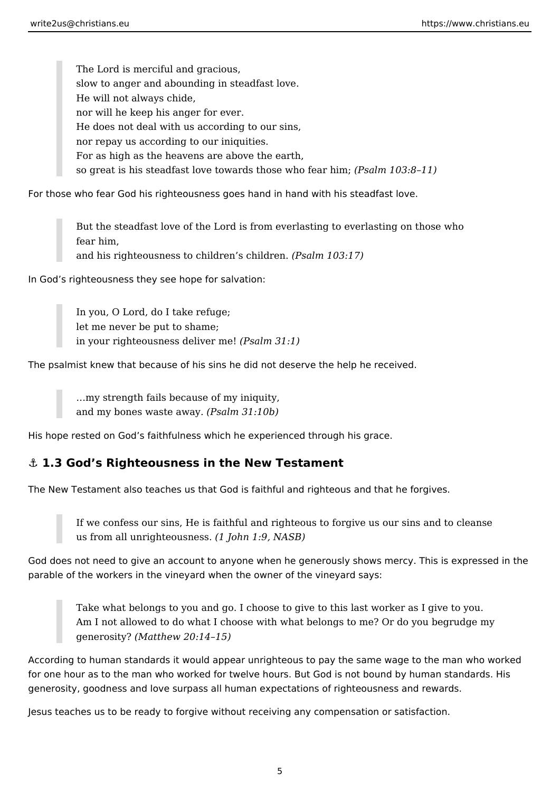<span id="page-4-0"></span>The Lord is merciful and gracious, slow to anger and abounding in steadfast love. He will not always chide, nor will he keep his anger for ever. He does not deal with us according to our sins, nor repay us according to our iniquities. For as high as the heavens are above the earth, so great is his steadfast love towards those who fear him; *(Psalm 103:8–11)*

For those who fear God his righteousness goes hand in hand with his steadfast love.

But the steadfast love of the Lord is from everlasting to everlasting on those who fear him,

and his righteousness to children's children. *(Psalm 103:17)*

In God's righteousness they see hope for salvation:

In you, O Lord, do I take refuge; let me never be put to shame; in your righteousness deliver me! *(Psalm 31:1)*

The psalmist knew that because of his sins he did not deserve the help he received.

…my strength fails because of my iniquity, and my bones waste away. *(Psalm 31:10b)*

His hope rested on God's faithfulness which he experienced through his grace.

### **⚓ 1.3 God's Righteousness in the New Testament**

The New Testament also teaches us that God is faithful and righteous and that he forgives.

If we confess our sins, He is faithful and righteous to forgive us our sins and to cleanse us from all unrighteousness. *(1 John 1:9, NASB)*

God does not need to give an account to anyone when he generously shows mercy. This is expressed in the parable of the workers in the vineyard when the owner of the vineyard says:

Take what belongs to you and go. I choose to give to this last worker as I give to you. Am I not allowed to do what I choose with what belongs to me? Or do you begrudge my generosity? *(Matthew 20:14–15)*

According to human standards it would appear unrighteous to pay the same wage to the man who worked for one hour as to the man who worked for twelve hours. But God is not bound by human standards. His generosity, goodness and love surpass all human expectations of righteousness and rewards.

Jesus teaches us to be ready to forgive without receiving any compensation or satisfaction.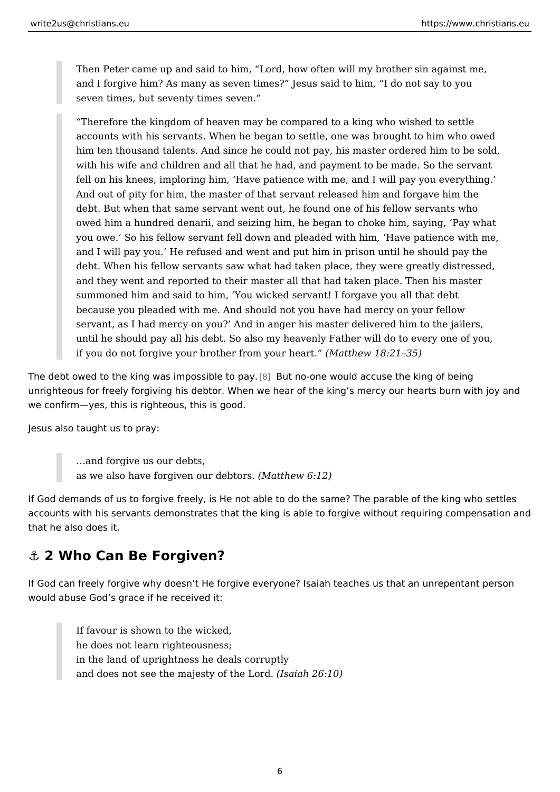<span id="page-5-0"></span>Then Peter came up and said to him, Lord, how often will my brother sin and I forgive him? As many as seven times? Jesus said to him, I do no seven times, but seventy times seven.

Therefore the kingdom of heaven may be compared to a king who wishe accounts with his servants. When he began to settle, one was brought t him ten thousand talents. And since he could not pay, his master ordere with his wife and children and all that he had, and payment to be made. fell on his knees, imploring him, Have patience with me, and I will pay And out of pity for him, the master of that servant released him and for debt. But when that same servant went out, he found one of his fellow s owed him a hundred denarii, and seizing him, he began to choke him, sa you owe. So his fellow servant fell down and pleaded with him, Have p and I will pay you. He refused and went and put him in prison until he debt. When his fellow servants saw what had taken place, they were gre and they went and reported to their master all that had taken place. The summoned him and said to him, You wicked servant! I forgave you all t because you pleaded with me. And should not you have had mercy on yo servant, as I had mercy on you? And in anger his master delivered him until he should pay all his debt. So also my heavenly Father will do to  $\epsilon$ if you do not forgive your brother from Myaotuhrehwe al 8t: 21 35)

The debt owed to the king was impo $\mathcal{B}$ s  $\mathbf{B}$ ut no-pare would accuse the king of being unrighteous for freely forgiving his debtor. When we hear of the king s mercy ou we confirm yes, this is righteous, this is good.

Jesus also taught us to pray:

 &and forgive us our debts, as we also have forgiven ou M dethtows6:12)

If God demands of us to forgive freely, is He not able to do the same? The parab accounts with his servants demonstrates that the king is able to forgive without that he also does it.

# &" 2 Who Can Be Forgiven?

If God can freely forgive why doesn t He forgive everyone? Isaiah teaches us that would abuse God s grace if he received it:

If favour is shown to the wicked, he does not learn righteousness; in the land of uprightness he deals corruptly and does not see the majesty  $bl$ s ah ah L $26d10$ )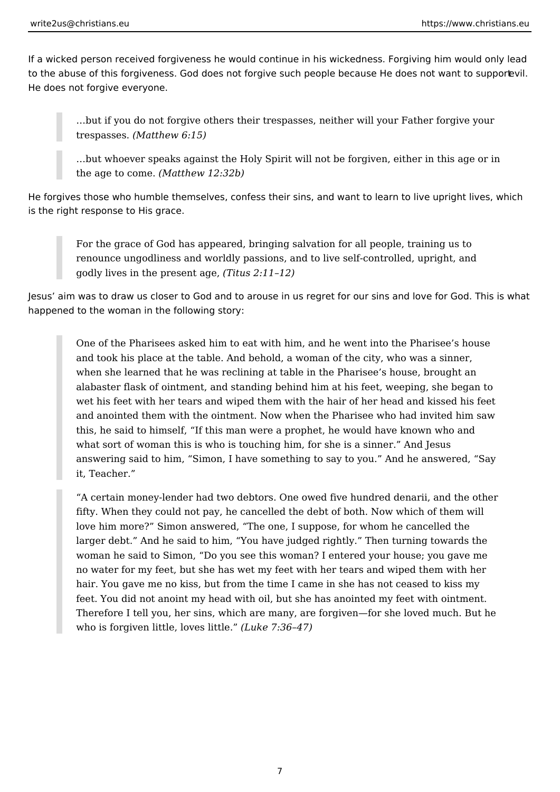If a wicked person received forgiveness he would continue in his wickedness. Forgiving him would only lead to the abuse of this forgiveness. God does not forgive such people because He does not want to supportevil. He does not forgive everyone.

…but if you do not forgive others their trespasses, neither will your Father forgive your trespasses. *(Matthew 6:15)*

…but whoever speaks against the Holy Spirit will not be forgiven, either in this age or in the age to come. *(Matthew 12:32b)*

He forgives those who humble themselves, confess their sins, and want to learn to live upright lives, which is the right response to His grace.

For the grace of God has appeared, bringing salvation for all people, training us to renounce ungodliness and worldly passions, and to live self-controlled, upright, and godly lives in the present age, *(Titus 2:11–12)*

Jesus' aim was to draw us closer to God and to arouse in us regret for our sins and love for God. This is what happened to the woman in the following story:

One of the Pharisees asked him to eat with him, and he went into the Pharisee's house and took his place at the table. And behold, a woman of the city, who was a sinner, when she learned that he was reclining at table in the Pharisee's house, brought an alabaster flask of ointment, and standing behind him at his feet, weeping, she began to wet his feet with her tears and wiped them with the hair of her head and kissed his feet and anointed them with the ointment. Now when the Pharisee who had invited him saw this, he said to himself, "If this man were a prophet, he would have known who and what sort of woman this is who is touching him, for she is a sinner." And Jesus answering said to him, "Simon, I have something to say to you." And he answered, "Say it, Teacher."

"A certain money-lender had two debtors. One owed five hundred denarii, and the other fifty. When they could not pay, he cancelled the debt of both. Now which of them will love him more?" Simon answered, "The one, I suppose, for whom he cancelled the larger debt." And he said to him, "You have judged rightly." Then turning towards the woman he said to Simon, "Do you see this woman? I entered your house; you gave me no water for my feet, but she has wet my feet with her tears and wiped them with her hair. You gave me no kiss, but from the time I came in she has not ceased to kiss my feet. You did not anoint my head with oil, but she has anointed my feet with ointment. Therefore I tell you, her sins, which are many, are forgiven—for she loved much. But he who is forgiven little, loves little." *(Luke 7:36–47)*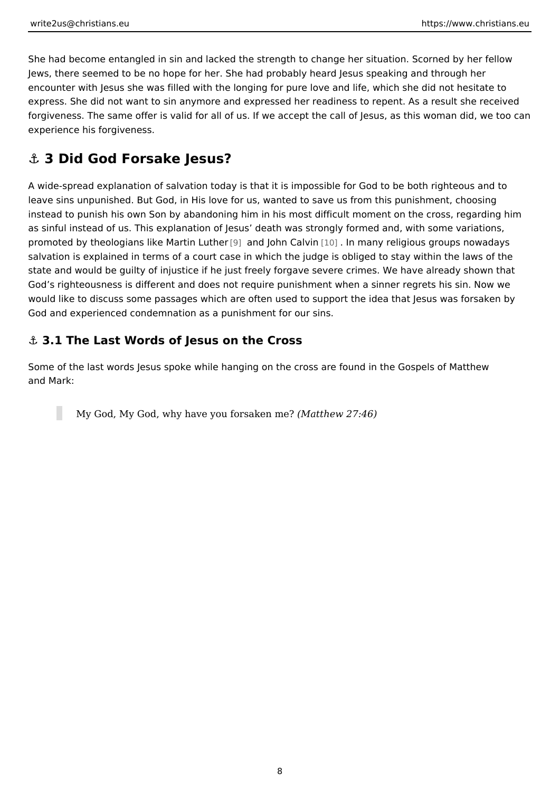<span id="page-7-0"></span>She had become entangled in sin and lacked the strength to change her situatior Jews, there seemed to be no hope for her. She had probably heard Jesus speaking encounter with Jesus she was filled with the longing for pure love and life, whic express. She did not want to sin anymore and expressed her readiness to repent forgiveness. The same offer is valid for all of us. If we accept the call of Jesus, experience his forgiveness.

## &" 3 Did God Forsake Jesus?

A wide-spread explanation of salvation today is that it is impossible for God to b leave sins unpunished. But God, in His love for us, wanted to save us from this instead to punish his own Son by abandoning him in his most difficult moment on as sinful instead of us. This explanation of Jesus death was strongly formed an promoted by theologians like [Mar](#page-16-0)tiam d Juthen Calovin In many religious groups nowad salvation is explained in terms of a court case in which the judge is obliged to s state and would be guilty of injustice if he just freely forgave severe crimes. We God s righteousness is different and does not require punishment when a sinner would like to discuss some passages which are often used to support the idea th God and experienced condemnation as a punishment for our sins.

#### &" 3.1 The Last Words of Jesus on the Cross

Some of the last words Jesus spoke while hanging on the cross are found in the and Mark:

My God, My God, why have you formulation  $(27:46)$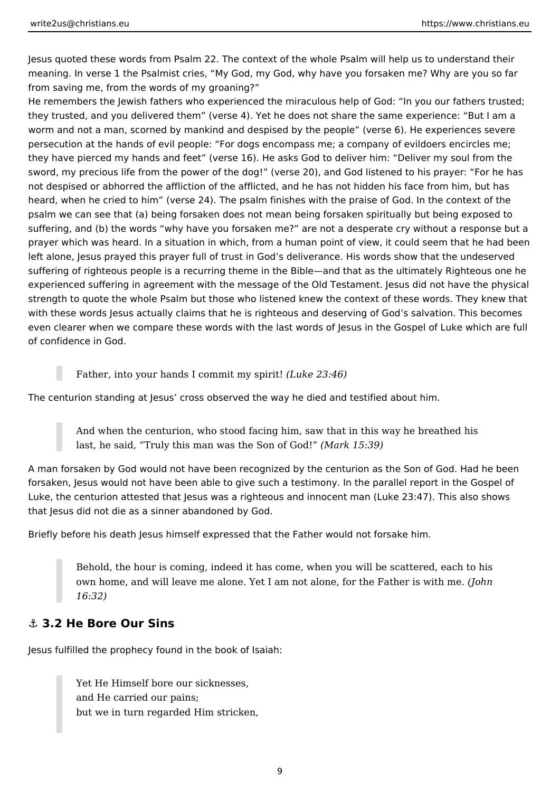<span id="page-8-0"></span>Jesus quoted these words from Psalm 22. The context of the whole Psalm will help us to understand their meaning. In verse 1 the Psalmist cries, "My God, my God, why have you forsaken me? Why are you so far from saving me, from the words of my groaning?"

He remembers the Jewish fathers who experienced the miraculous help of God: "In you our fathers trusted; they trusted, and you delivered them" (verse 4). Yet he does not share the same experience: "But I am a worm and not a man, scorned by mankind and despised by the people" (verse 6). He experiences severe persecution at the hands of evil people: "For dogs encompass me; a company of evildoers encircles me; they have pierced my hands and feet" (verse 16). He asks God to deliver him: "Deliver my soul from the sword, my precious life from the power of the dog!" (verse 20), and God listened to his prayer: "For he has not despised or abhorred the affliction of the afflicted, and he has not hidden his face from him, but has heard, when he cried to him" (verse 24). The psalm finishes with the praise of God. In the context of the psalm we can see that (a) being forsaken does not mean being forsaken spiritually but being exposed to suffering, and (b) the words "why have you forsaken me?" are not a desperate cry without a response but a prayer which was heard. In a situation in which, from a human point of view, it could seem that he had been left alone, Jesus prayed this prayer full of trust in God's deliverance. His words show that the undeserved suffering of righteous people is a recurring theme in the Bible—and that as the ultimately Righteous one he experienced suffering in agreement with the message of the Old Testament. Jesus did not have the physical strength to quote the whole Psalm but those who listened knew the context of these words. They knew that with these words Jesus actually claims that he is righteous and deserving of God's salvation. This becomes even clearer when we compare these words with the last words of Jesus in the Gospel of Luke which are full of confidence in God.

Father, into your hands I commit my spirit! *(Luke 23:46)*

The centurion standing at Jesus' cross observed the way he died and testified about him.

And when the centurion, who stood facing him, saw that in this way he breathed his last, he said, "Truly this man was the Son of God!" *(Mark 15:39)*

A man forsaken by God would not have been recognized by the centurion as the Son of God. Had he been forsaken, Jesus would not have been able to give such a testimony. In the parallel report in the Gospel of Luke, the centurion attested that Jesus was a righteous and innocent man (Luke 23:47). This also shows that Jesus did not die as a sinner abandoned by God.

Briefly before his death Jesus himself expressed that the Father would not forsake him.

Behold, the hour is coming, indeed it has come, when you will be scattered, each to his own home, and will leave me alone. Yet I am not alone, for the Father is with me. *(John 16:32)*

# **⚓ 3.2 He Bore Our Sins**

Jesus fulfilled the prophecy found in the book of Isaiah:

Yet He Himself bore our sicknesses, and He carried our pains; but we in turn regarded Him stricken,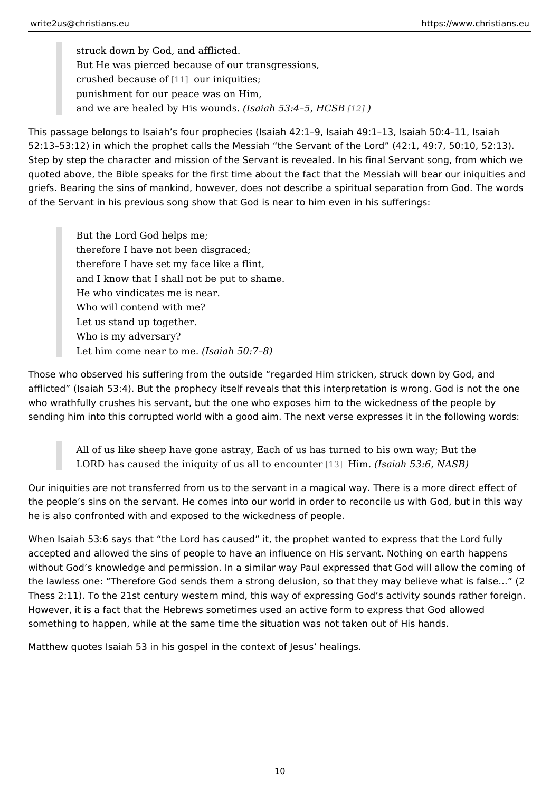struck down by God, and afflicted. But He was pierced because of our transgressions, crushed beca[use](#page-16-0) cofur iniquities; punishment for our peace was on Him, and we are healed by His ( $w$ e wound  $s$ 53:4 5,  $H$ QSB

This passage belongs to Isaiah s four prophecies (Isaiah 42:1 9, Isaiah 49:1 13, 52:13 53:12) in which the prophet calls the Messiah the Servant of the Lord (4): Step by step the character and mission of the Servant is revealed. In his final S quoted above, the Bible speaks for the first time about the fact that the Messiah griefs. Bearing the sins of mankind, however, does not describe a spiritual sepa of the Servant in his previous song show that God is near to him even in his suf

But the Lord God helps me; therefore I have not been disgraced; therefore I have set my face like a flint, and I know that I shall not be put to shame. He who vindicates me is near. Who will contend with me? Let us stand up together. Who is my adversary? Let him come near (to saming hear  $50:78$ )

Those who observed his suffering from the outside regarded Him stricken, struc afflicted (Isaiah 53:4). But the prophecy itself reveals that this interpretation i who wrathfully crushes his servant, but the one who exposes him to the wickedne sending him into this corrupted world with a good aim. The next verse expresses

All of us like sheep have gone astray, Each of us has turned to his own LORD has caused the iniquity of us all into Heim closuaria enr  $53:6$ , NASB)

Our iniquities are not transferred from us to the servant in a magical way. There the people s sins on the servant. He comes into our world in order to reconcile u he is also confronted with and exposed to the wickedness of people.

When Isaiah 53:6 says that the Lord has caused it, the prophet wanted to express accepted and allowed the sins of people to have an influence on His servant. No without God s knowledge and permission. In a similar way Paul expressed that G the lawless one: Therefore God sends them a strong delusion, so that they may Thess 2:11). To the 21st century western mind, this way of expressing God s act However, it is a fact that the Hebrews sometimes used an active form to express something to happen, while at the same time the situation was not taken out of **F** 

Matthew quotes Isaiah 53 in his gospel in the context of Jesus healings.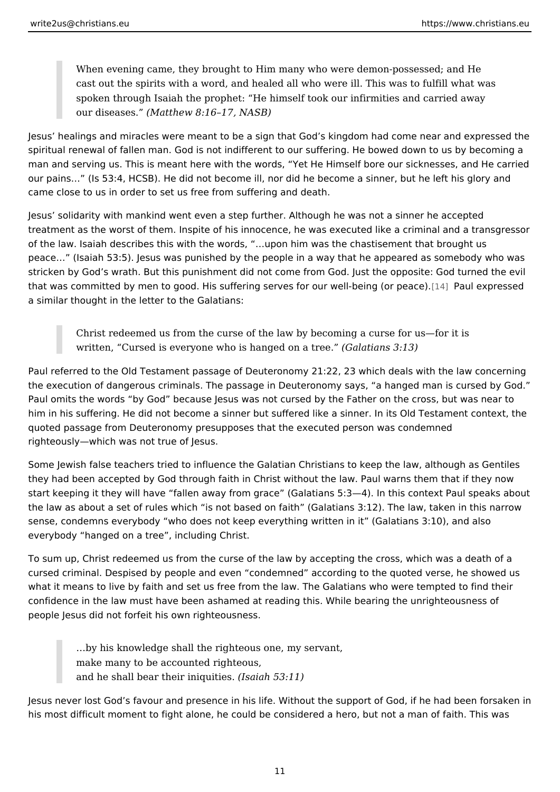When evening came, they brought to Him many who were demon-possess cast out the spirits with a word, and healed all who were ill. This was t spoken through Isaiah the prophet: He himself took our infirmities and our diseas $é$ s atthew  $8:16$  17, NASB)

Jesus healings and miracles were meant to be a sign that God s kingdom had co spiritual renewal of fallen man. God is not indifferent to our suffering. He bowed man and serving us. This is meant here with the words, Yet He Himself bore our our pains & (Is 53:4, HCSB). He did not become ill, nor did he become a sinner, came close to us in order to set us free from suffering and death.

Jesus solidarity with mankind went even a step further. Although he was not a s treatment as the worst of them. Inspite of his innocence, he was executed like a of the law. Isaiah describes this with the words, &upon him was the chastisemer peace & (Isaiah 53:5). Jesus was punished by the people in a way that he appea stricken by God s wrath. But this punishment did not come from God. Just the op that was committed by men to good. His suffering serves for quap we ull-bexiping s(seed). a similar thought in the letter to the Galatians:

Christ redeemed us from the curse of the law by becoming a curse for u written, Cursed is everyone who is hange all a transit  $\theta$  equals  $\theta$ .

Paul referred to the Old Testament passage of Deuteronomy 21:22, 23 which deal the execution of dangerous criminals. The passage in Deuteronomy says, a hang Paul omits the words by God because Jesus was not cursed by the Father on th him in his suffering. He did not become a sinner but suffered like a sinner. In it quoted passage from Deuteronomy presupposes that the executed person was condemned righteously which was not true of Jesus.

Some Jewish false teachers tried to influence the Galatian Christians to keep th they had been accepted by God through faith in Christ without the law. Paul war start keeping it they will have fallen away from grace (Galatians 5:3 4). In this the law as about a set of rules which is not based on faith (Galatians 3:12). The sense, condemns everybody who does not keep everything written in it (Galatia everybody hanged on a tree , including Christ.

To sum up, Christ redeemed us from the curse of the law by accepting the cross, cursed criminal. Despised by people and even condemned according to the quot what it means to live by faith and set us free from the law. The Galatians who w confidence in the law must have been ashamed at reading this. While bearing the people Jesus did not forfeit his own righteousness.

 &by his knowledge shall the righteous one, my servant, make many to be accounted righteous, and he shall bear their inisqualizatine  $53:11$ )

Jesus never lost God s favour and presence in his life. Without the support of G his most difficult moment to fight alone, he could be considered a hero, but not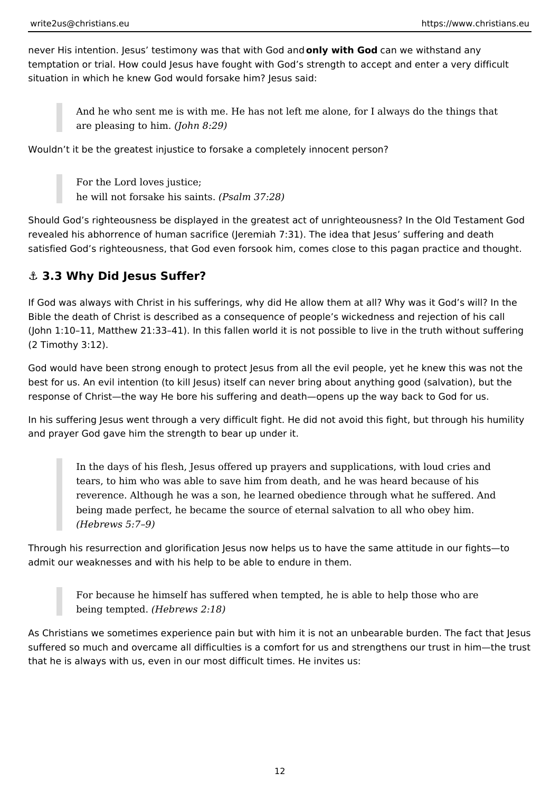<span id="page-11-0"></span>never His intention. Jesus' testimony was that with God and **only with God** can we withstand any temptation or trial. How could Jesus have fought with God's strength to accept and enter a very difficult situation in which he knew God would forsake him? Jesus said:

And he who sent me is with me. He has not left me alone, for I always do the things that are pleasing to him. *(John 8:29)*

Wouldn't it be the greatest injustice to forsake a completely innocent person?

For the Lord loves justice; he will not forsake his saints. *(Psalm 37:28)*

Should God's righteousness be displayed in the greatest act of unrighteousness? In the Old Testament God revealed his abhorrence of human sacrifice (Jeremiah 7:31). The idea that Jesus' suffering and death satisfied God's righteousness, that God even forsook him, comes close to this pagan practice and thought.

# **⚓ 3.3 Why Did Jesus Suffer?**

If God was always with Christ in his sufferings, why did He allow them at all? Why was it God's will? In the Bible the death of Christ is described as a consequence of people's wickedness and rejection of his call (John 1:10–11, Matthew 21:33–41). In this fallen world it is not possible to live in the truth without suffering (2 Timothy 3:12).

God would have been strong enough to protect Jesus from all the evil people, yet he knew this was not the best for us. An evil intention (to kill Jesus) itself can never bring about anything good (salvation), but the response of Christ—the way He bore his suffering and death—opens up the way back to God for us.

In his suffering Jesus went through a very difficult fight. He did not avoid this fight, but through his humility and prayer God gave him the strength to bear up under it.

In the days of his flesh, Jesus offered up prayers and supplications, with loud cries and tears, to him who was able to save him from death, and he was heard because of his reverence. Although he was a son, he learned obedience through what he suffered. And being made perfect, he became the source of eternal salvation to all who obey him. *(Hebrews 5:7–9)*

Through his resurrection and glorification Jesus now helps us to have the same attitude in our fights—to admit our weaknesses and with his help to be able to endure in them.

For because he himself has suffered when tempted, he is able to help those who are being tempted. *(Hebrews 2:18)*

As Christians we sometimes experience pain but with him it is not an unbearable burden. The fact that Jesus suffered so much and overcame all difficulties is a comfort for us and strengthens our trust in him—the trust that he is always with us, even in our most difficult times. He invites us: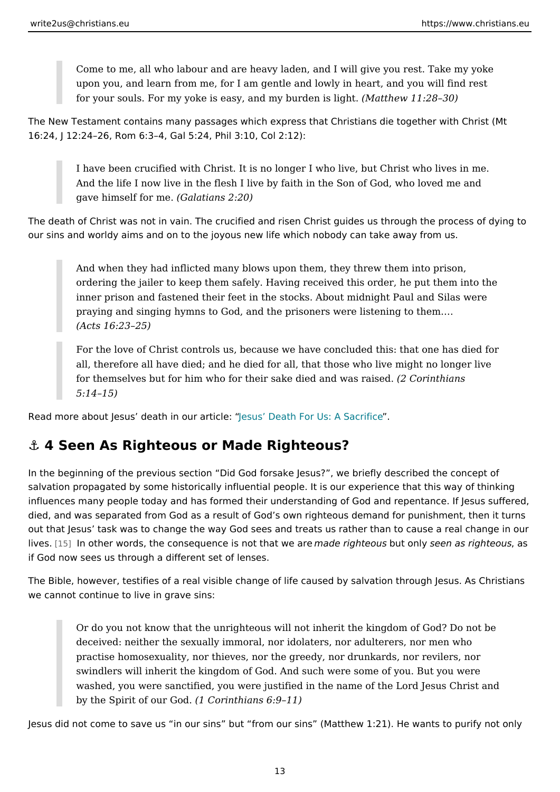<span id="page-12-0"></span>Come to me, all who labour and are heavy laden, and I will give you res upon you, and learn from me, for I am gentle and lowly in heart, and yo for your souls. For my yoke is easy, and  $m \oint M$  bout the must satisfy the  $(30)$ 

The New Testament contains many passages which express that Christians die to 16:24, J 12:24 26, Rom 6:3 4, Gal 5:24, Phil 3:10, Col 2:12):

I have been crucified with Christ. It is no longer I who live, but Christ w And the life I now live in the flesh I live by faith in the Son of God, who gave himself for  $G$ me batians  $2:20$ )

The death of Christ was not in vain. The crucified and risen Christ guides us thr our sins and worldy aims and on to the joyous new life which nobody can take av

And when they had inflicted many blows upon them, they threw them into ordering the jailer to keep them safely. Having received this order, he put inner prison and fastened their feet in the stocks. About midnight Paul praying and singing hymns to God, and the prisoners were listening to t (Acts 16:23 25)

For the love of Christ controls us, because we have concluded this: tha all, therefore all have died; and he died for all, that those who live mig for themselves but for him who for their sake di $é2$ l and in was anal sed. 5:14 15)

Readmore about Jesus death in coursar Diecath For Us: A Sacrifice

### &" 4 Seen As Righteous or Made Righteous?

In the beginning of the previous section Did God forsake Jesus?, we briefly de salvation propagated by some historically influential people. It is our experience influences many people today and has formed their understanding of God and rep died, and was separated from God as a result of God s own righteous demand for out that Jesus task was to change the way God sees and treats us rather than t lives 15 In other words, the consequence is moatd thaitg whee baut onsigen as righte apsus if God now sees us through a different set of lenses.

The Bible, however, testifies of a real visible change of life caused by salvation we cannot continue to live in grave sins:

Or do you not know that the unrighteous will not inherit the kingdom of deceived: neither the sexually immoral, nor idolaters, nor adulterers, no practise homosexuality, nor thieves, nor the greedy, nor drunkards, nor swindlers will inherit the kingdom of God. And such were some of you. E washed, you were sanctified, you were justified in the name of the Lord by the Spirit of our Condinthians  $6:9$  11)

Jesus did not come to save us in our sins but from our sins (Matthew 1:21). H

13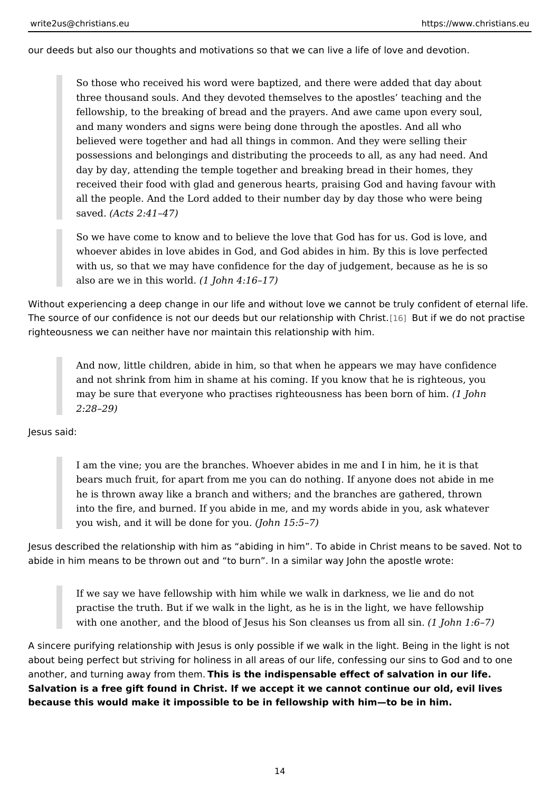our deeds but also our thoughts and motivations so that we can live a life of lov

So those who received his word were baptized, and there were added th three thousand souls. And they devoted themselves to the apostles tea fellowship, to the breaking of bread and the prayers. And awe came upo and many wonders and signs were being done through the apostles. And believed were together and had all things in common. And they were sel possessions and belongings and distributing the proceeds to all, as any day by day, attending the temple together and breaking bread in their h received their food with glad and generous hearts, praising God and have all the people. And the Lord added to their number day by day those wh saved $Acts$  2:41 47)

So we have come to know and to believe the love that God has for us. G whoever abides in love abides in God, and God abides in him. By this is with us, so that we may have confidence for the day of judgement, beca also are we in this (wolduldin  $4:16$  17)

Without experiencing a deep change in our life and without love we cannot be tru The source of our confidence is not our deeds but our redia Bionshiw ewd th n Contributed righteousness we can neither have nor maintain this relationship with him.

And now, little children, abide in him, so that when he appears we may and not shrink from him in shame at his coming. If you know that he is right may be sure that everyone who practises righteousness has do heren born of 2:28 29)

Jesus said:

I am the vine; you are the branches. Whoever abides in me and I in him bears much fruit, for apart from me you can do nothing. If anyone does he is thrown away like a branch and withers; and the branches are gath into the fire, and burned. If you abide in me, and my words abide in you you wish, and it will be done bofor  $\sqrt{5}$ u.  $7)$ 

Jesus described the relationship with him as abiding in him. To abide in Christ abide in him means to be thrown out and to burn . In a similar way John the apo

If we say we have fellowship with him while we walk in darkness, we lie practise the truth. But if we walk in the light, as he is in the light, we have with one another, and the blood of Jesus his Son cle(ainsless nust: if own all s

A sincere purifying relationship with Jesus is only possible if we walk in the light about being perfect but striving for holiness in all areas of our life, confessing another, and turning away f**Toms theome** indispensable effect of salvation in our li Salvation is a free gift found in Christ. If we accept it we cannot continue our ol because this would make it impossible to be in fellowship with him to be in him.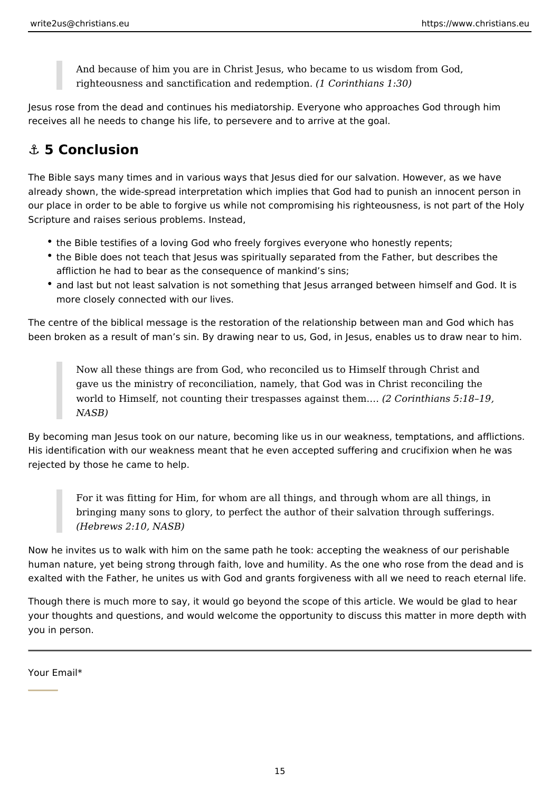<span id="page-14-0"></span>And because of him you are in Christ Jesus, who became to us wisdom from God, righteousness and sanctification and redemption. *(1 Corinthians 1:30)*

Jesus rose from the dead and continues his mediatorship. Everyone who approaches God through him receives all he needs to change his life, to persevere and to arrive at the goal.

# **⚓ 5 Conclusion**

The Bible says many times and in various ways that Jesus died for our salvation. However, as we have already shown, the wide-spread interpretation which implies that God had to punish an innocent person in our place in order to be able to forgive us while not compromising his righteousness, is not part of the Holy Scripture and raises serious problems. Instead,

- the Bible testifies of a loving God who freely forgives everyone who honestly repents;
- the Bible does not teach that Jesus was spiritually separated from the Father, but describes the affliction he had to bear as the consequence of mankind's sins;
- and last but not least salvation is not something that Jesus arranged between himself and God. It is more closely connected with our lives.

The centre of the biblical message is the restoration of the relationship between man and God which has been broken as a result of man's sin. By drawing near to us, God, in Jesus, enables us to draw near to him.

Now all these things are from God, who reconciled us to Himself through Christ and gave us the ministry of reconciliation, namely, that God was in Christ reconciling the world to Himself, not counting their trespasses against them.… *(2 Corinthians 5:18–19, NASB)*

By becoming man Jesus took on our nature, becoming like us in our weakness, temptations, and afflictions. His identification with our weakness meant that he even accepted suffering and crucifixion when he was rejected by those he came to help.

For it was fitting for Him, for whom are all things, and through whom are all things, in bringing many sons to glory, to perfect the author of their salvation through sufferings. *(Hebrews 2:10, NASB)*

Now he invites us to walk with him on the same path he took: accepting the weakness of our perishable human nature, yet being strong through faith, love and humility. As the one who rose from the dead and is exalted with the Father, he unites us with God and grants forgiveness with all we need to reach eternal life.

Though there is much more to say, it would go beyond the scope of this article. We would be glad to hear your thoughts and questions, and would welcome the opportunity to discuss this matter in more depth with you in person.

Your Email\*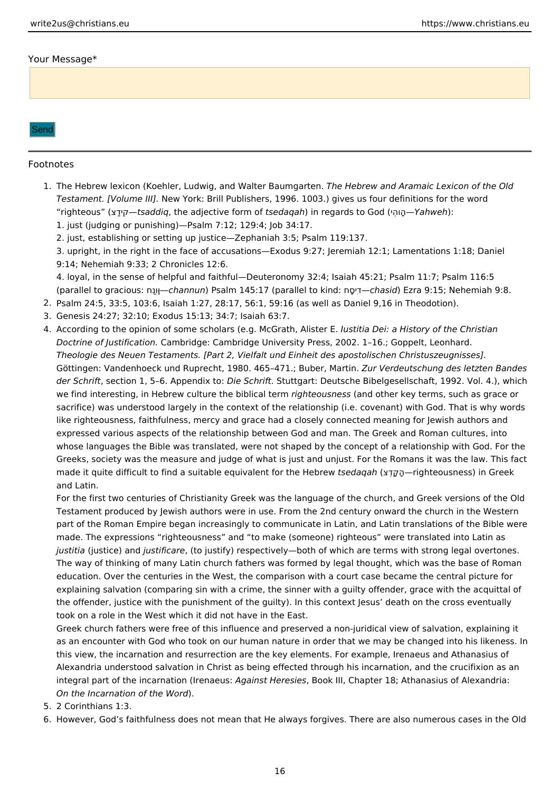#### <span id="page-15-0"></span>Your Message\*

### Send

### Footnotes

1. The Hebrew lexicon (Koehler, Ludwig, and Walter Baumgarten. *The Hebrew and Aramaic Lexicon of the Old Testament. [Volume III].* New York: Brill Publishers, 1996. 1003.) gives us four definitions for the word "righteous" (צַדִּקי—*tsaddiq*, the adjective form of *tsedaqah*) in regards to God (יְוהָה—*Yahweh*):

1. just (judging or punishing)—Psalm 7:12; 129:4; Job 34:17.

2. just, establishing or setting up justice—Zephaniah 3:5; Psalm 119:137.

3. upright, in the right in the face of accusations—Exodus 9:27; Jeremiah 12:1; Lamentations 1:18; Daniel 9:14; Nehemiah 9:33; 2 Chronicles 12:6.

4. loyal, in the sense of helpful and faithful—Deuteronomy 32:4; Isaiah 45:21; Psalm 11:7; Psalm 116:5 (parallel to gracious: חַנּוּן—*channun*) Psalm 145:17 (parallel to kind: חָסִדי—*chasid*) Ezra 9:15; Nehemiah 9:8.

- 2. Psalm 24:5, 33:5, 103:6, Isaiah 1:27, 28:17, 56:1, 59:16 (as well as Daniel 9,16 in Theodotion).
- 3. Genesis 24:27; 32:10; Exodus 15:13; 34:7; Isaiah 63:7.
- 4. According to the opinion of some scholars (e.g. McGrath, Alister E. *Iustitia Dei: a History of the Christian Doctrine of Justification.* Cambridge: Cambridge University Press, 2002. 1–16.; Goppelt, Leonhard. *Theologie des Neuen Testaments. [Part 2, Vielfalt und Einheit des apostolischen Christuszeugnisses].*  Göttingen: Vandenhoeck und Ruprecht, 1980. 465–471.; Buber, Martin. *Zur Verdeutschung des letzten Bandes der Schrift*, section 1, 5–6. Appendix to: *Die Schrift*. Stuttgart: Deutsche Bibelgesellschaft, 1992. Vol. 4.), which we find interesting, in Hebrew culture the biblical term *righteousness* (and other key terms, such as grace or sacrifice) was understood largely in the context of the relationship (i.e. covenant) with God. That is why words like righteousness, faithfulness, mercy and grace had a closely connected meaning for Jewish authors and expressed various aspects of the relationship between God and man. The Greek and Roman cultures, into whose languages the Bible was translated, were not shaped by the concept of a relationship with God. For the Greeks, society was the measure and judge of what is just and unjust. For the Romans it was the law. This fact made it quite difficult to find a suitable equivalent for the Hebrew *tsedaqah* (צְדָקָה—righteousness) in Greek and Latin.

For the first two centuries of Christianity Greek was the language of the church, and Greek versions of the Old Testament produced by Jewish authors were in use. From the 2nd century onward the church in the Western part of the Roman Empire began increasingly to communicate in Latin, and Latin translations of the Bible were made. The expressions "righteousness" and "to make (someone) righteous" were translated into Latin as *justitia* (justice) and *justificare*, (to justify) respectively—both of which are terms with strong legal overtones. The way of thinking of many Latin church fathers was formed by legal thought, which was the base of Roman education. Over the centuries in the West, the comparison with a court case became the central picture for explaining salvation (comparing sin with a crime, the sinner with a guilty offender, grace with the acquittal of the offender, justice with the punishment of the guilty). In this context Jesus' death on the cross eventually took on a role in the West which it did not have in the East.

Greek church fathers were free of this influence and preserved a non-juridical view of salvation, explaining it as an encounter with God who took on our human nature in order that we may be changed into his likeness. In this view, the incarnation and resurrection are the key elements. For example, Irenaeus and Athanasius of Alexandria understood salvation in Christ as being effected through his incarnation, and the crucifixion as an integral part of the incarnation (Irenaeus: *Against Heresies*, Book III, Chapter 18; Athanasius of Alexandria: *On the Incarnation of the Word*).

5. 2 Corinthians 1:3.

6. However, God's faithfulness does not mean that He always forgives. There are also numerous cases in the Old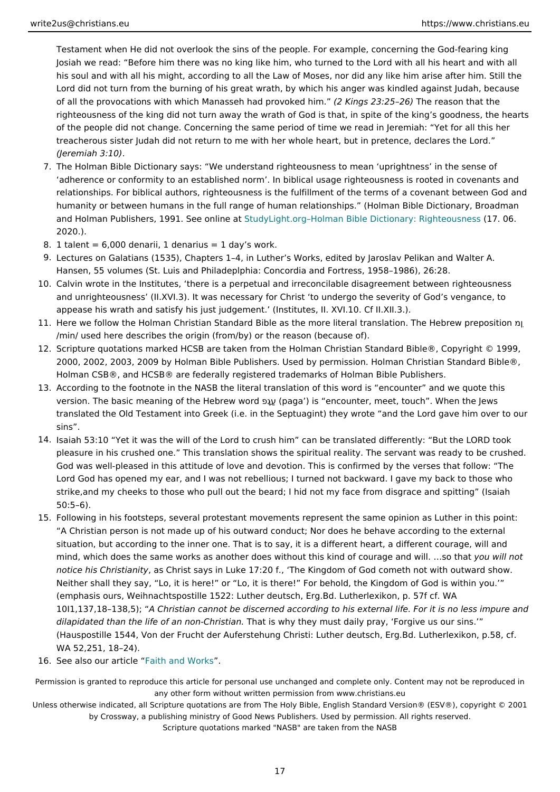<span id="page-16-0"></span>Testament when He did not overlook the sins of the people. For example, concernir Josiah we read: Before him there was no king like him, who turned to the Lord wit his soul and with all his might, according to all the Law of Moses, nor did any like Lord did not turn from the burning of his great wrath, by which his anger was kindl of all the provocations with which Manasseh hald himogy blesed 2h5 The Biogreason that the righteousness of the king did not turn away the wrath of God is that, in spite of the of the people did not change. Concerning the same period of time we read in Jerem treacherous sister Judah did not return to me with her whole heart, but in pretence (Jeremiah 3:10) .

- 7. The Holman Bible Dictionary says: We understand righteousness to mean uprightn adherence or conformity to an established norm . In biblical usage righteousness relationships. For biblical authors, righteousness is the fulfillment of the terms of humanity or between humans in the full range of human relationships. (Holman Bib and Holman Publishers, 1991. Seete doynLlighetactrg Holman Bible Dictionary: (R7ghOt 6 pusn 2020.).
- 8.1 talent =  $6.000$  denarii, 1 denarius = 1 day s work.
- 9. Lectures on Galatians (1535), Chapters 1 4, in Luther s Works, edited by Jaroslav Hansen, 55 volumes (St. Luis and Philadeplphia: Concordia and Fortress, 1958 198
- 10. Calvin wrote in the Institutes, there is a perpetual and irreconcilable disagreement and unrighteousness (II.XVI.3). It was necessary for Christ to undergo the severi appease his wrath and satisfy his just judgement. (Institutes, II. XVI.10. Cf II.XII.
- 11. Here we follow the Holman Christian Standard Bible as the more literal tran\$l'ation. /min/ used here describes the origin (from/by) or the reason (because of).
- 12.Scripture quotations marked HCSB are taken from the Holman Christian Standard B 2000, 2002, 2003, 2009 by Holman Bible Publishers. Used by permission. Holman C Holman CSB®, and HCSB® are federally registered trademarks of Holman Bible Pub
- 13.According to the footnote in the NASB the literal translation of this word is encou version. The basic meaning of the äHe∡(potention voins encounter, meet, touch . When the translated the Old Testament into Greek (i.e. in the Septuagint) they wrote and th sins .
- 14. Isaiah 53:10 Yet it was the will of the Lord to crush him can be translated differe pleasure in his crushed one. This translation shows the spiritual reality. The serv God was well-pleased in this attitude of love and devotion. This is confirmed by th Lord God has opened my ear, and I was not rebellious; I turned not backward. I gave strike,and my cheeks to those who pull out the beard; I hid not my face from disgra 50:5 6).
- 15.Following in his footsteps, several protestant movements represent the same opinio A Christian person is not made up of his outward conduct; Nor does he behave acc situation, but according to the inner one. That is to say, it is a different heart, a d mind, which does the same works as another does without this kind of cow will geneatnd notice his Christians in Christ says in Luke 17:20 f., The Kingdom of God cometh not w Neither shall they say, Lo, it is here! or Lo, it is there! For behold, the Kingdon (emphasis ours, Weihnachtspostille 1522: Luther deutsch, Erg.Bd. Lutherlexikon, p. 1011,137,18 1384,50 hristian cannot be discerned according to his external life. For dilapidated than the life of an non-Chistis whit in they must daily pray, Forgive us our sins. (Hauspostille 1544, Von der Frucht der Auferstehung Christi: Luther deutsch, Erg. B WA 52,251, 18 24).

16. See also our artactle and Works

Permission is granted to reproduce this article for personal use unchanged and complete only. Co any other form without written permission from www.christians.eu

Unless otherwise indicated, all Scripture quotations are from The Holy Bible, English Standard Ve by Crossway, a publishing ministry of Good News Publishers. Used by permission. All r Scripture quotations marked "NASB" are taken from the NASB